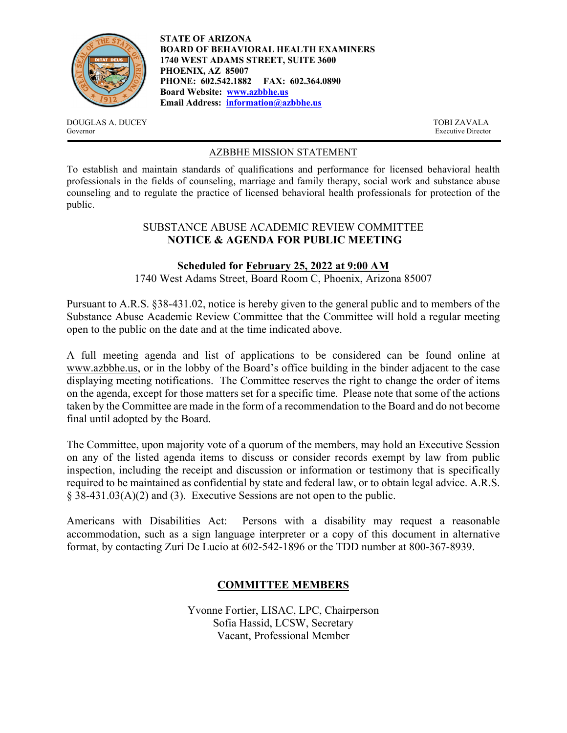

**STATE OF ARIZONA BOARD OF BEHAVIORAL HEALTH EXAMINERS 1740 WEST ADAMS STREET, SUITE 3600 PHOENIX, AZ 85007 PHONE: 602.542.1882 FAX: 602.364.0890 Board Website: www.azbbhe.us Email Address: information@azbbhe.us**

DOUGLAS A. DUCEY TOBI ZAVALA Governor Executive Director

### AZBBHE MISSION STATEMENT

To establish and maintain standards of qualifications and performance for licensed behavioral health professionals in the fields of counseling, marriage and family therapy, social work and substance abuse counseling and to regulate the practice of licensed behavioral health professionals for protection of the public.

#### SUBSTANCE ABUSE ACADEMIC REVIEW COMMITTEE **NOTICE & AGENDA FOR PUBLIC MEETING**

### **Scheduled for February 25, 2022 at 9:00 AM**

1740 West Adams Street, Board Room C, Phoenix, Arizona 85007

Pursuant to A.R.S. §38-431.02, notice is hereby given to the general public and to members of the Substance Abuse Academic Review Committee that the Committee will hold a regular meeting open to the public on the date and at the time indicated above.

A full meeting agenda and list of applications to be considered can be found online at www.azbbhe.us, or in the lobby of the Board's office building in the binder adjacent to the case displaying meeting notifications. The Committee reserves the right to change the order of items on the agenda, except for those matters set for a specific time. Please note that some of the actions taken by the Committee are made in the form of a recommendation to the Board and do not become final until adopted by the Board.

The Committee, upon majority vote of a quorum of the members, may hold an Executive Session on any of the listed agenda items to discuss or consider records exempt by law from public inspection, including the receipt and discussion or information or testimony that is specifically required to be maintained as confidential by state and federal law, or to obtain legal advice. A.R.S. § 38-431.03(A)(2) and (3). Executive Sessions are not open to the public.

Americans with Disabilities Act: Persons with a disability may request a reasonable accommodation, such as a sign language interpreter or a copy of this document in alternative format, by contacting Zuri De Lucio at 602-542-1896 or the TDD number at 800-367-8939.

# **COMMITTEE MEMBERS**

Yvonne Fortier, LISAC, LPC, Chairperson Sofia Hassid, LCSW, Secretary Vacant, Professional Member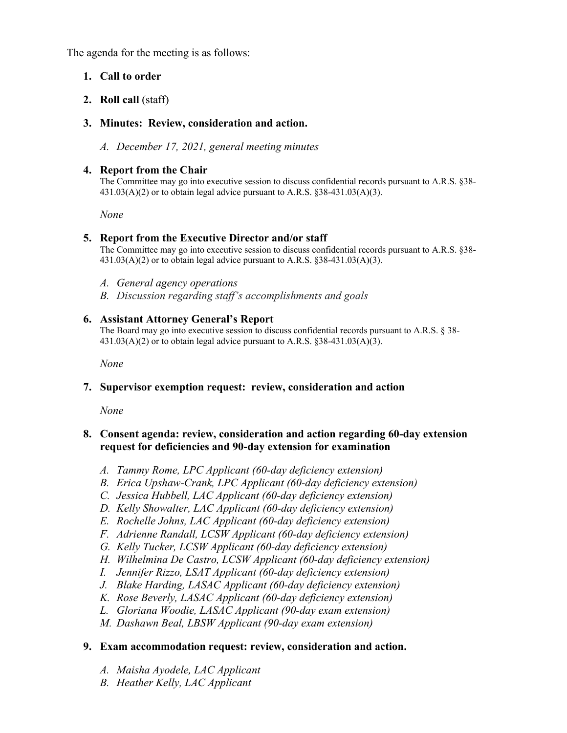The agenda for the meeting is as follows:

### **1. Call to order**

### **2. Roll call** (staff)

### **3. Minutes: Review, consideration and action.**

*A. December 17, 2021, general meeting minutes* 

### **4. Report from the Chair**

The Committee may go into executive session to discuss confidential records pursuant to A.R.S. §38-  $431.03(A)(2)$  or to obtain legal advice pursuant to A.R.S. §38-431.03(A)(3).

 *None* 

### **5. Report from the Executive Director and/or staff**

The Committee may go into executive session to discuss confidential records pursuant to A.R.S. §38-  $431.03(A)(2)$  or to obtain legal advice pursuant to A.R.S. §38-431.03(A)(3).

- *A. General agency operations*
- *B. Discussion regarding staff's accomplishments and goals*

### **6. Assistant Attorney General's Report**

The Board may go into executive session to discuss confidential records pursuant to A.R.S. § 38- 431.03(A)(2) or to obtain legal advice pursuant to A.R.S. §38-431.03(A)(3).

 *None* 

### **7. Supervisor exemption request: review, consideration and action**

 *None* 

# **8. Consent agenda: review, consideration and action regarding 60-day extension request for deficiencies and 90-day extension for examination**

- *A. Tammy Rome, LPC Applicant (60-day deficiency extension)*
- *B. Erica Upshaw-Crank, LPC Applicant (60-day deficiency extension)*
- *C. Jessica Hubbell, LAC Applicant (60-day deficiency extension)*
- *D. Kelly Showalter, LAC Applicant (60-day deficiency extension)*
- *E. Rochelle Johns, LAC Applicant (60-day deficiency extension)*
- *F. Adrienne Randall, LCSW Applicant (60-day deficiency extension)*
- *G. Kelly Tucker, LCSW Applicant (60-day deficiency extension)*
- *H. Wilhelmina De Castro, LCSW Applicant (60-day deficiency extension)*
- *I. Jennifer Rizzo, LSAT Applicant (60-day deficiency extension)*
- *J. Blake Harding, LASAC Applicant (60-day deficiency extension)*
- *K. Rose Beverly, LASAC Applicant (60-day deficiency extension)*
- *L. Gloriana Woodie, LASAC Applicant (90-day exam extension)*
- *M. Dashawn Beal, LBSW Applicant (90-day exam extension)*

### **9. Exam accommodation request: review, consideration and action.**

- *A. Maisha Ayodele, LAC Applicant*
- *B. Heather Kelly, LAC Applicant*